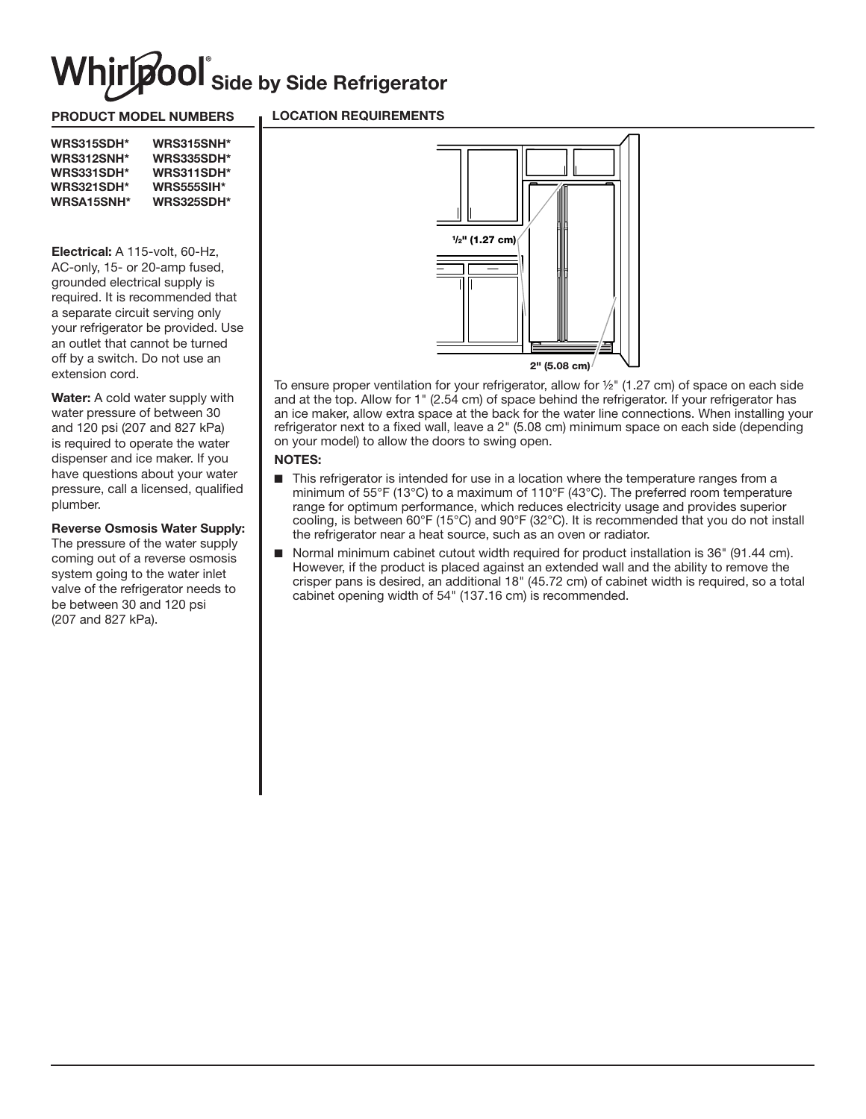# **niripool** Side by Side Refrigerator

### PRODUCT MODEL NUMBERS

### LOCATION REQUIREMENTS

| <b>WRS315SDH*</b> | <b>WRS315SNH*</b> |
|-------------------|-------------------|
| <b>WRS312SNH*</b> | <b>WRS335SDH*</b> |
| <b>WRS331SDH*</b> | <b>WRS311SDH*</b> |
| <b>WRS321SDH*</b> | <b>WRS555SIH*</b> |
| <b>WRSA15SNH*</b> | <b>WRS325SDH*</b> |

Electrical: A 115-volt, 60-Hz, AC-only, 15- or 20-amp fused, grounded electrical supply is required. It is recommended that a separate circuit serving only your refrigerator be provided. Use an outlet that cannot be turned off by a switch. Do not use an extension cord.

**Water:** A cold water supply with water pressure of between 30 and 120 psi (207 and 827 kPa) is required to operate the water dispenser and ice maker. If you have questions about your water pressure, call a licensed, qualified plumber.

#### Reverse Osmosis Water Supply:

The pressure of the water supply coming out of a reverse osmosis system going to the water inlet valve of the refrigerator needs to be between 30 and 120 psi (207 and 827 kPa).



To ensure proper ventilation for your refrigerator, allow for  $\frac{1}{2}$ " (1.27 cm) of space on each side and at the top. Allow for 1" (2.54 cm) of space behind the refrigerator. If your refrigerator has an ice maker, allow extra space at the back for the water line connections. When installing your refrigerator next to a fixed wall, leave a 2" (5.08 cm) minimum space on each side (depending on your model) to allow the doors to swing open.

## NOTES:

- This refrigerator is intended for use in a location where the temperature ranges from a minimum of 55°F (13°C) to a maximum of 110°F (43°C). The preferred room temperature range for optimum performance, which reduces electricity usage and provides superior cooling, is between 60°F (15°C) and 90°F (32°C). It is recommended that you do not install the refrigerator near a heat source, such as an oven or radiator.
- Normal minimum cabinet cutout width required for product installation is 36" (91.44 cm). However, if the product is placed against an extended wall and the ability to remove the crisper pans is desired, an additional 18" (45.72 cm) of cabinet width is required, so a total cabinet opening width of 54" (137.16 cm) is recommended.